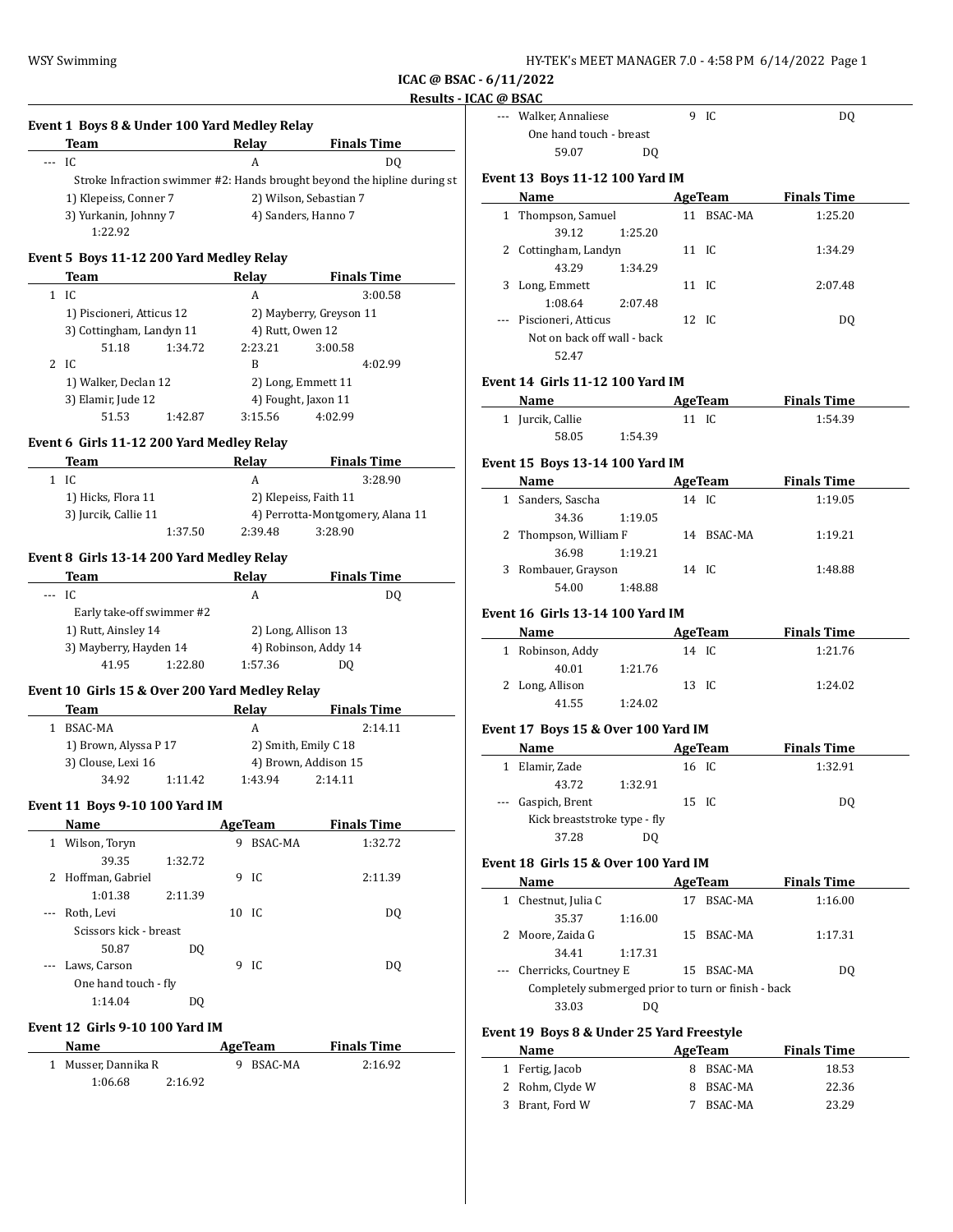**ICAC @ BSAC - 6/11/2022**

# **Results - ICAC** @ **Event 1 Boys 8 & Under 100 Yard Medley Relay Team Relay Finals Time** --- IC A DQ Stroke Infraction swimmer #2: Hands brought beyond the hipline during st  $\mathbf{Eve}$ 1) Klepeiss, Conner 7 2) Wilson, Sebastian 7 3) Yurkanin, Johnny 7 (4) Sanders, Hanno 7 1:22.92 **Event 5 Boys 11-12 200 Yard Medley Relay Team Relay Finals Time** 1 IC A 3:00.58 1) Piscioneri, Atticus 12 2) Mayberry, Greyson 11 3) Cottingham, Landyn 11 4) Rutt, Owen 12 51.18 1:34.72 2:23.21 3:00.58 2 IC B 4:02.99 1) Walker, Declan 12 2) Long, Emmett 11 3) Elamir, Jude 12 4) Fought, Jaxon 11 51.53 1:42.87 3:15.56 4:02.99 **Event 6 Girls 11-12 200 Yard Medley Relay Team Relay Finals Time** 1 IC A 3:28.90 1) Hicks, Flora 11 2) Klepeiss, Faith 11 3) Jurcik, Callie 11 4) Perrotta-Montgomery, Alana 11 1:37.50 2:39.48 3:28.90 **Event 8 Girls 13-14 200 Yard Medley Relay Team Relay Finals Time** -- IC A DQ Early take-off swimmer #2 1) Rutt, Ainsley 14 2) Long, Allison 13 3) Mayberry, Hayden 14 4) Robinson, Addy 14 41.95 1:22.80 1:57.36 DQ **Event 10 Girls 15 & Over 200 Yard Medley Relay Team Relay Finals Time** 1 BSAC-MA A 2:14.11 1) Brown, Alyssa P 17 2) Smith, Emily C 18 3) Clouse, Lexi 16 4) Brown, Addison 15 34.92 1:11.42 1:43.94 2:14.11 **Event 11 Boys 9-10 100 Yard IM Name AgeTeam Finals Time** 1 Wilson, Toryn 9 BSAC-MA 1:32.72 39.35 1:32.72 2 Hoffman, Gabriel 9 IC 2:11.39 1:01.38 2:11.39 -- Roth, Levi 10 IC DQ Scissors kick - breast 50.87 DQ --- Laws, Carson 9 IC DQ One hand touch - fly 1:14.04 DQ **Event 12 Girls 9-10 100 Yard IM Name AgeTeam Finals Time** 1 Musser, Dannika R 9 BSAC-MA 2:16.92 1:06.68 2:16.92

|        | <b>C</b> @ BSAC                                           |                           |         |                        |                    |  |
|--------|-----------------------------------------------------------|---------------------------|---------|------------------------|--------------------|--|
|        | --- Walker, Annaliese<br>One hand touch - breast<br>59.07 | DO.                       |         | 9 IC                   | DQ                 |  |
|        | Event 13 Boys 11-12 100 Yard IM                           |                           |         |                        |                    |  |
|        | Name                                                      |                           |         | <b>AgeTeam</b>         | <b>Finals Time</b> |  |
|        | 1 Thompson, Samuel                                        |                           |         | 11 BSAC-MA             | 1:25.20            |  |
|        | 39.12                                                     | 1:25.20                   |         |                        |                    |  |
|        | 2 Cottingham, Landyn                                      |                           | 11 IC   |                        | 1:34.29            |  |
|        | 43.29                                                     | 1:34.29                   |         |                        |                    |  |
|        | 3 Long, Emmett                                            |                           | 11 IC   |                        | 2:07.48            |  |
|        | 1:08.64                                                   | 2:07.48                   |         |                        |                    |  |
|        | Piscioneri, Atticus                                       |                           | 12 IC   |                        | DQ                 |  |
|        | Not on back off wall - back                               |                           |         |                        |                    |  |
|        | 52.47                                                     |                           |         |                        |                    |  |
|        |                                                           |                           |         |                        |                    |  |
|        | Event 14  Girls 11-12 100 Yard IM                         |                           |         |                        |                    |  |
|        | Name AgeTeam Finals Time                                  |                           |         |                        |                    |  |
|        | 1 Jurcik, Callie                                          |                           | $11$ IC |                        | 1:54.39            |  |
|        | 58.05                                                     | 1:54.39                   |         |                        |                    |  |
|        | Event 15 Boys 13-14 100 Yard IM                           |                           |         |                        |                    |  |
|        | Name                                                      |                           |         | AgeTeam                | <b>Finals Time</b> |  |
|        | 1 Sanders, Sascha                                         |                           |         | 14 IC                  | 1:19.05            |  |
|        | 34.36 1:19.05                                             |                           |         |                        |                    |  |
|        | 2 Thompson, William F                                     |                           |         | 14 BSAC-MA             | 1:19.21            |  |
|        | 36.98                                                     | 1:19.21                   |         |                        |                    |  |
|        | 3 Rombauer, Grayson                                       |                           | 14 IC   |                        | 1:48.88            |  |
|        | 54.00                                                     | 1:48.88                   |         |                        |                    |  |
|        |                                                           |                           |         |                        |                    |  |
|        | Event 16 Girls 13-14 100 Yard IM                          |                           |         |                        |                    |  |
|        | Name                                                      | <b>Example 21 AgeTeam</b> |         |                        | <b>Finals Time</b> |  |
|        |                                                           |                           |         |                        |                    |  |
|        | 1 Robinson, Addy                                          |                           | 14 IC   |                        | 1:21.76            |  |
|        | 40.01                                                     | 1:21.76                   |         |                        |                    |  |
|        | 2 Long, Allison                                           |                           | 13 IC   |                        | 1:24.02            |  |
|        | 41.55                                                     | 1:24.02                   |         |                        |                    |  |
|        |                                                           |                           |         |                        |                    |  |
|        | Event 17 Boys 15 & Over 100 Yard IM                       |                           |         |                        |                    |  |
|        | Name AgeTeam                                              |                           |         |                        | <b>Finals Time</b> |  |
|        | 1 Elamir, Zade                                            |                           | 16 IC   |                        | 1:32.91            |  |
|        | 43.72                                                     | 1:32.91                   |         |                        |                    |  |
|        | Gaspich, Brent                                            |                           | 15 IC   |                        | DQ                 |  |
|        | Kick breaststroke type - fly                              |                           |         |                        |                    |  |
|        | 37.28                                                     | DQ                        |         |                        |                    |  |
|        | Event 18  Girls 15 & Over 100 Yard IM                     |                           |         |                        |                    |  |
|        | <u>Name</u>                                               |                           |         | AgeTeam                | <b>Finals Time</b> |  |
|        | 1 Chestnut, Julia C                                       |                           |         | 17 BSAC-MA             | 1:16.00            |  |
|        | 35.37                                                     | 1:16.00                   |         |                        |                    |  |
| 2      | Moore, Zaida G                                            |                           | 15      | BSAC-MA                | 1:17.31            |  |
|        | 34.41                                                     | 1:17.31                   |         |                        |                    |  |
| ---    | Cherricks, Courtney E                                     |                           |         | 15 BSAC-MA             | DQ                 |  |
|        | Completely submerged prior to turn or finish - back       |                           |         |                        |                    |  |
|        | 33.03                                                     | DQ                        |         |                        |                    |  |
|        |                                                           |                           |         |                        |                    |  |
|        | Event 19  Boys 8 & Under 25 Yard Freestyle                |                           |         |                        |                    |  |
|        | Name                                                      |                           |         | AgeTeam                | <b>Finals Time</b> |  |
|        | 1 Fertig, Jacob                                           |                           |         | 8 BSAC-MA              | 18.53              |  |
| 2<br>3 | Rohm, Clyde W<br>Brant, Ford W                            |                           |         | 8 BSAC-MA<br>7 BSAC-MA | 22.36<br>23.29     |  |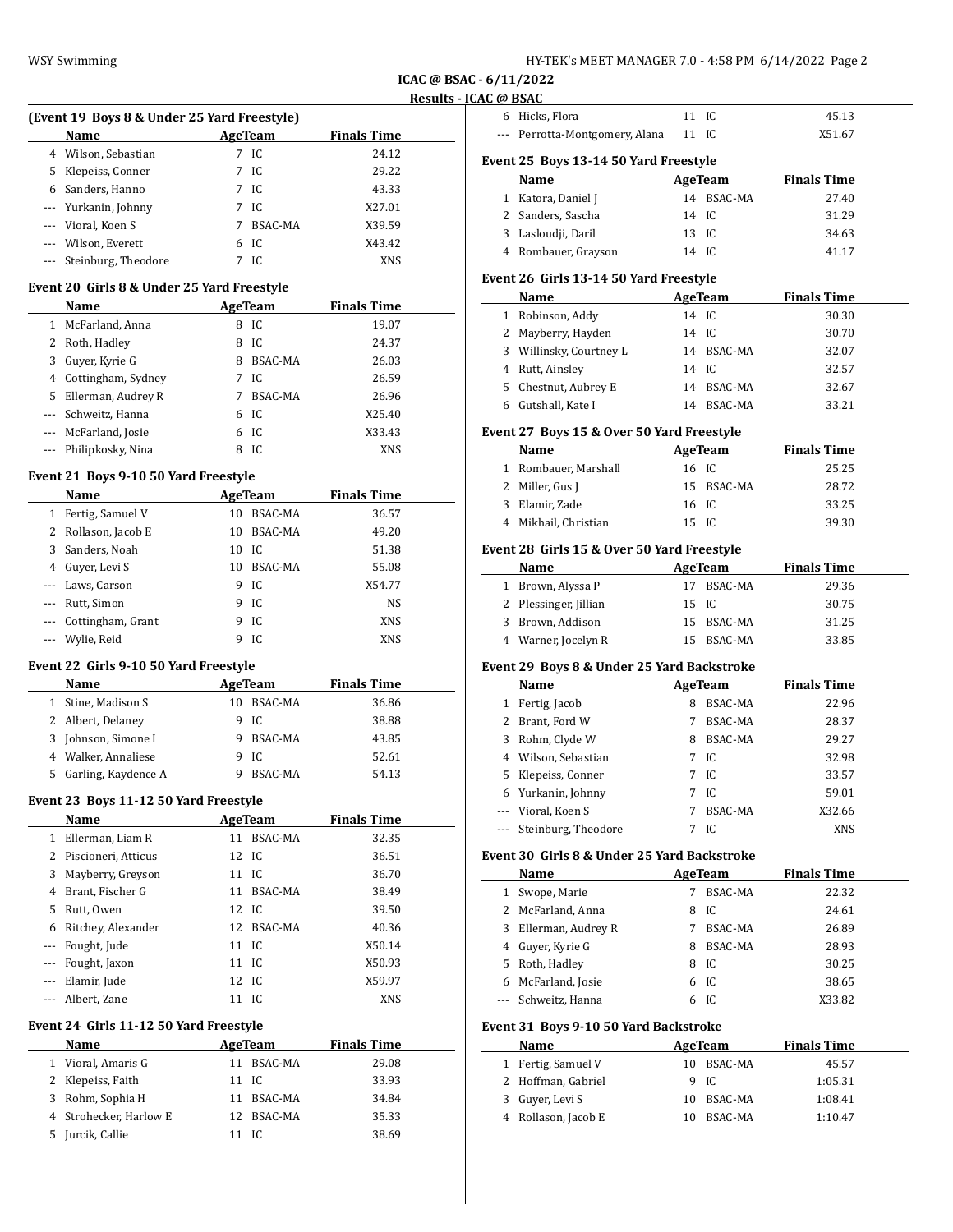| HY-TEK's MEET MANAGER 7.0 - 4:58 PM  6/14/2022  Page 2 |  |
|--------------------------------------------------------|--|
|--------------------------------------------------------|--|

**ICAC @ BSAC - 6/11/2022 Results - ICAC** 

# **(Event 19 Boys 8 & Under 25 Yard Freestyle)**

|    | Name                    |   | AgeTeam        | <b>Finals Time</b> |  |
|----|-------------------------|---|----------------|--------------------|--|
| 4  | Wilson, Sebastian       |   | 7 IC           | 24.12              |  |
| 5. | Klepeiss, Conner        |   | 7 IC           | 29.22              |  |
|    | 6 Sanders, Hanno        |   | 7 IC           | 43.33              |  |
|    | --- Yurkanin, Johnny    | 7 | IC.            | X27.01             |  |
|    | --- Vioral, Koen S      | 7 | <b>BSAC-MA</b> | X39.59             |  |
|    | --- Wilson, Everett     | 6 | IC             | X43.42             |  |
|    | --- Steinburg, Theodore |   | IC.            | XNS                |  |

#### **Event 20 Girls 8 & Under 25 Yard Freestyle**

|    | Name                  |   | AgeTeam | <b>Finals Time</b> |
|----|-----------------------|---|---------|--------------------|
| 1  | McFarland, Anna       | 8 | IC      | 19.07              |
|    | 2 Roth, Hadley        | 8 | IC      | 24.37              |
| 3  | Guyer, Kyrie G        | 8 | BSAC-MA | 26.03              |
|    | 4 Cottingham, Sydney  |   | IC.     | 26.59              |
| 5. | Ellerman, Audrey R    |   | BSAC-MA | 26.96              |
|    | --- Schweitz, Hanna   | 6 | IC.     | X25.40             |
|    | --- McFarland, Josie  | 6 | IC.     | X33.43             |
|    | --- Philipkosky, Nina | 8 | IC.     | <b>XNS</b>         |

#### **Event 21 Boys 9-10 50 Yard Freestyle**

|   | Name<br>AgeTeam       |       |                | <b>Finals Time</b> |  |  |
|---|-----------------------|-------|----------------|--------------------|--|--|
| 1 | Fertig, Samuel V      | 10    | <b>BSAC-MA</b> | 36.57              |  |  |
|   | 2 Rollason, Jacob E   | 10    | <b>BSAC-MA</b> | 49.20              |  |  |
|   | 3 Sanders, Noah       | 10 IC |                | 51.38              |  |  |
|   | 4 Guyer, Levi S       | 10    | BSAC-MA        | 55.08              |  |  |
|   | --- Laws, Carson      | 9.    | IC.            | X54.77             |  |  |
|   | --- Rutt, Simon       | 9     | IC             | <b>NS</b>          |  |  |
|   | --- Cottingham, Grant | 9     | IC             | <b>XNS</b>         |  |  |
|   | --- Wylie, Reid       |       | IC.            | XNS                |  |  |

#### **Event 22 Girls 9-10 50 Yard Freestyle**

|    | Name                | AgeTeam    | <b>Finals Time</b> |  |
|----|---------------------|------------|--------------------|--|
|    | Stine, Madison S    | 10 BSAC-MA | 36.86              |  |
|    | 2 Albert, Delaney   | 9 IC       | 38.88              |  |
| 3  | Johnson, Simone I   | 9 BSAC-MA  | 43.85              |  |
|    | 4 Walker, Annaliese | 9 IC       | 52.61              |  |
| 5. | Garling, Kaydence A | BSAC-MA    | 54.13              |  |

#### **Event 23 Boys 11-12 50 Yard Freestyle**

|              | Name                  |       | AgeTeam        | <b>Finals Time</b> |  |
|--------------|-----------------------|-------|----------------|--------------------|--|
| $\mathbf{1}$ | Ellerman, Liam R      | 11    | BSAC-MA        | 32.35              |  |
|              | 2 Piscioneri, Atticus | 12 IC |                | 36.51              |  |
|              | 3 Mayberry, Greyson   | 11 IC |                | 36.70              |  |
| 4            | Brant, Fischer G      | 11    | <b>BSAC-MA</b> | 38.49              |  |
|              | 5 Rutt, Owen          | 12 IC |                | 39.50              |  |
| 6            | Ritchey, Alexander    | 12    | BSAC-MA        | 40.36              |  |
|              | --- Fought, Jude      | 11 IC |                | X50.14             |  |
|              | --- Fought, Jaxon     | 11 IC |                | X50.93             |  |
|              | Elamir, Jude          | 12 IC |                | X59.97             |  |
|              | Albert, Zane          | 11    | - IC           | <b>XNS</b>         |  |

# **Event 24 Girls 11-12 50 Yard Freestyle**

|    | <b>Name</b>            |       | AgeTeam    | <b>Finals Time</b> |  |
|----|------------------------|-------|------------|--------------------|--|
|    | 1 Vioral, Amaris G     |       | 11 BSAC-MA | 29.08              |  |
|    | 2 Klepeiss, Faith      | 11 IC |            | 33.93              |  |
| 3  | Rohm, Sophia H         |       | 11 BSAC-MA | 34.84              |  |
|    | 4 Strohecker, Harlow E |       | 12 BSAC-MA | 35.33              |  |
| 5. | Jurcik, Callie         | 11 IC |            | 38.69              |  |

| AC @ BSAC |                                            |             |                                 |                             |  |
|-----------|--------------------------------------------|-------------|---------------------------------|-----------------------------|--|
|           | 6 Hicks, Flora                             | 11          | IC                              | 45.13                       |  |
| $\cdots$  | Perrotta-Montgomery, Alana                 | 11 IC       |                                 | X51.67                      |  |
|           | Event 25 Boys 13-14 50 Yard Freestyle      |             |                                 |                             |  |
|           | Name                                       |             | AgeTeam                         | <b>Finals Time</b>          |  |
|           | 1 Katora, Daniel J                         |             | 14 BSAC-MA                      | 27.40                       |  |
|           | 2 Sanders, Sascha                          | 14 IC       |                                 | 31.29                       |  |
|           | 3 Lasloudji, Daril                         | 13 IC       |                                 | 34.63                       |  |
|           | 4 Rombauer, Grayson                        | 14 IC       |                                 | 41.17                       |  |
|           |                                            |             |                                 |                             |  |
|           | Event 26 Girls 13-14 50 Yard Freestyle     |             |                                 |                             |  |
|           | Name                                       | 14 IC       | AgeTeam                         | <b>Finals Time</b><br>30.30 |  |
|           | 1 Robinson, Addy<br>2 Mayberry, Hayden     | 14 IC       |                                 |                             |  |
|           | 3 Willinsky, Courtney L                    |             | 14 BSAC-MA                      | 30.70                       |  |
|           | 4 Rutt, Ainsley                            | 14 IC       |                                 | 32.07<br>32.57              |  |
|           | 5 Chestnut, Aubrey E                       |             | 14 BSAC-MA                      |                             |  |
|           | 6 Gutshall, Kate I                         |             | 14 BSAC-MA                      | 32.67                       |  |
|           |                                            |             |                                 | 33.21                       |  |
|           | Event 27 Boys 15 & Over 50 Yard Freestyle  |             |                                 |                             |  |
|           | Name                                       |             | AgeTeam                         | <b>Finals Time</b>          |  |
|           | 1 Rombauer, Marshall                       | 16 IC       |                                 | 25.25                       |  |
|           | 2 Miller, Gus J                            |             | 15 BSAC-MA                      | 28.72                       |  |
|           | 3 Elamir, Zade                             | 16 IC       |                                 | 33.25                       |  |
|           | 4 Mikhail, Christian                       | 15 IC       |                                 | 39.30                       |  |
|           | Event 28 Girls 15 & Over 50 Yard Freestyle |             |                                 |                             |  |
|           | Name                                       |             | AgeTeam                         | <b>Finals Time</b>          |  |
|           | 1 Brown, Alyssa P                          | 17          | BSAC-MA                         | 29.36                       |  |
|           | 2 Plessinger, Jillian                      | 15          | IC                              | 30.75                       |  |
|           | 3 Brown, Addison                           |             | 15 BSAC-MA                      | 31.25                       |  |
|           | 4 Warner, Jocelyn R                        |             | 15 BSAC-MA                      | 33.85                       |  |
|           | Event 29 Boys 8 & Under 25 Yard Backstroke |             |                                 |                             |  |
|           | Name                                       |             | AgeTeam                         | <b>Finals Time</b>          |  |
|           | 1 Fertig, Jacob                            |             | 8 BSAC-MA                       | 22.96                       |  |
|           | 2 Brant, Ford W                            | $7^{\circ}$ | <b>BSAC-MA</b>                  | 28.37                       |  |
|           |                                            |             | <b><u><del>ngigar</del></u></b> |                             |  |

|   | Name                    |   | AgeTeam        | <b>Finals Time</b> |
|---|-------------------------|---|----------------|--------------------|
| 1 | Fertig, Jacob           | 8 | <b>BSAC-MA</b> | 22.96              |
| 2 | Brant, Ford W           |   | <b>BSAC-MA</b> | 28.37              |
| 3 | Rohm, Clyde W           | 8 | BSAC-MA        | 29.27              |
|   | 4 Wilson, Sebastian     |   | 7 IC           | 32.98              |
|   | 5 Klepeiss, Conner      |   | 7 IC           | 33.57              |
|   | 6 Yurkanin, Johnny      |   | 7 IC           | 59.01              |
|   | --- Vioral, Koen S      | 7 | BSAC-MA        | X32.66             |
|   | --- Steinburg, Theodore |   | IC.            | <b>XNS</b>         |

#### **Event 30 Girls 8 & Under 25 Yard Backstroke**

|                                       | Name               |    | AgeTeam        | <b>Finals Time</b> |  |  |  |  |
|---------------------------------------|--------------------|----|----------------|--------------------|--|--|--|--|
| 1                                     | Swope, Marie       | 7  | BSAC-MA        | 22.32              |  |  |  |  |
| 2                                     | McFarland, Anna    | 8  | IC.            | 24.61              |  |  |  |  |
| 3                                     | Ellerman, Audrey R | 7  | BSAC-MA        | 26.89              |  |  |  |  |
| 4                                     | Guyer, Kyrie G     | 8  | BSAC-MA        | 28.93              |  |  |  |  |
| 5.                                    | Roth, Hadley       | 8  | IC.            | 30.25              |  |  |  |  |
| 6                                     | McFarland, Josie   |    | 6 IC           | 38.65              |  |  |  |  |
|                                       | Schweitz, Hanna    | 6  | IC             | X33.82             |  |  |  |  |
| Event 31 Boys 9-10 50 Yard Backstroke |                    |    |                |                    |  |  |  |  |
|                                       | Name               |    | AgeTeam        | <b>Finals Time</b> |  |  |  |  |
| 1                                     | Fertig, Samuel V   | 10 | <b>BSAC-MA</b> | 45.57              |  |  |  |  |
| 2                                     | Hoffman, Gabriel   | 9  | IC.            | 1:05.31            |  |  |  |  |
| 3                                     | Guyer, Levi S      | 10 | BSAC-MA        | 1:08.41            |  |  |  |  |
| 4                                     | Rollason, Jacob E  | 10 | <b>BSAC-MA</b> | 1:10.47            |  |  |  |  |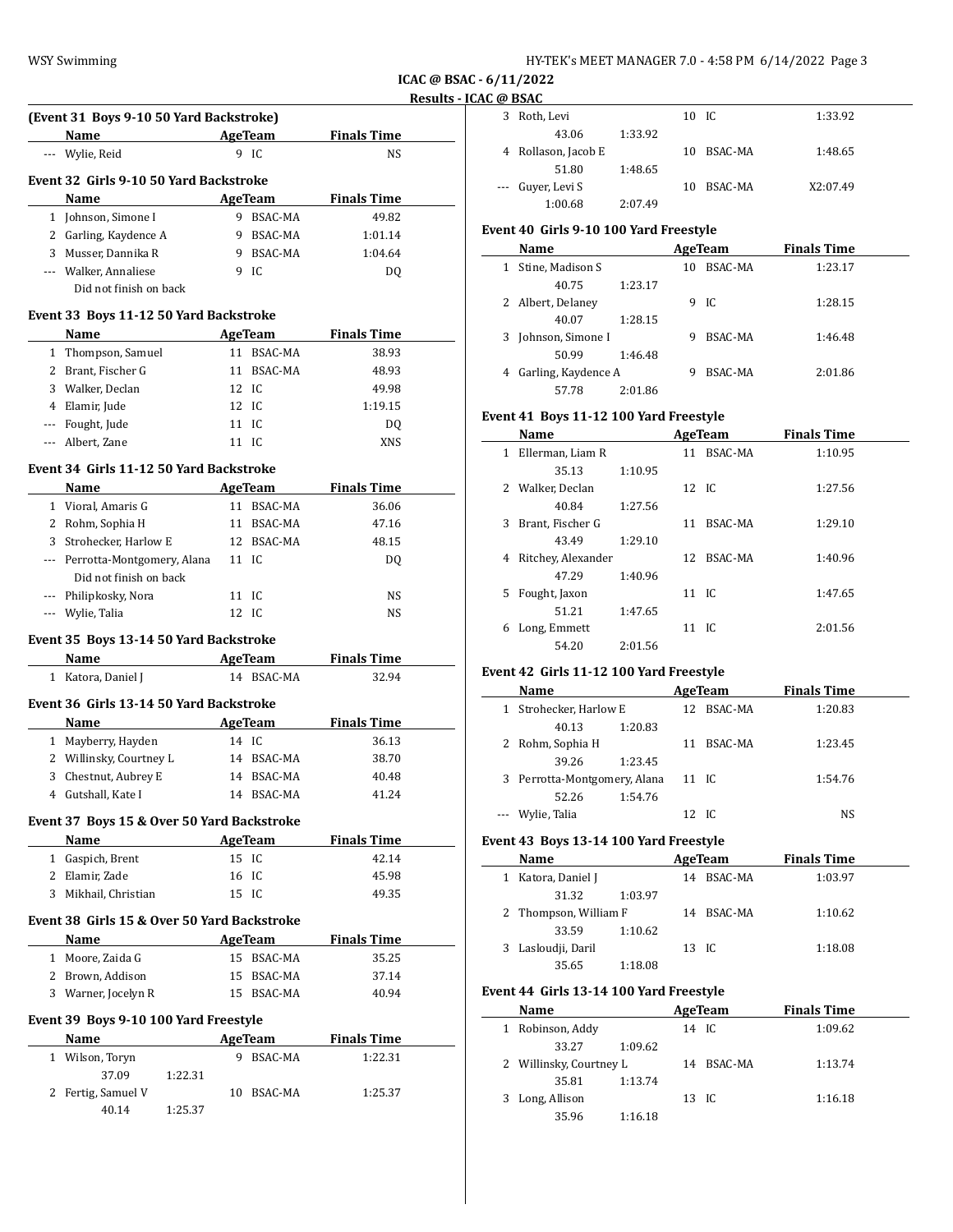| HY-TEK's MEET MANAGER 7.0 - 4:58 PM 6/14/2022 Page 3 |  |  |  |
|------------------------------------------------------|--|--|--|
|------------------------------------------------------|--|--|--|

**ICAC @ BSAC - 6/11/2022 Results - ICAC @ BSAC**

| (Event 31 Boys 9-10 50 Yard Backstroke)     |                |                    | 3            |
|---------------------------------------------|----------------|--------------------|--------------|
| <b>Name</b><br><b>Example 21 AgeTeam</b>    |                | <b>Finals Time</b> |              |
| --- Wylie, Reid                             | 9 IC           | NS                 | 4            |
| Event 32 Girls 9-10 50 Yard Backstroke      |                |                    |              |
| Name                                        | <b>AgeTeam</b> | <b>Finals Time</b> |              |
| 1 Johnson, Simone I                         | 9 BSAC-MA      | 49.82              |              |
| 2 Garling, Kaydence A                       | 9 BSAC-MA      | 1:01.14            | Event        |
| 3 Musser, Dannika R                         | 9 BSAC-MA      | 1:04.64            |              |
| --- Walker, Annaliese                       | 9 IC           | DQ                 | 1            |
| Did not finish on back                      |                |                    |              |
| Event 33 Boys 11-12 50 Yard Backstroke      |                |                    | $2^{\circ}$  |
| Name                                        | <b>AgeTeam</b> | <b>Finals Time</b> | 3            |
| 1 Thompson, Samuel                          | 11 BSAC-MA     | 38.93              |              |
| 2 Brant, Fischer G                          | 11 BSAC-MA     | 48.93              | 4            |
| 3 Walker, Declan                            | 12 IC          | 49.98              |              |
| 4 Elamir, Jude                              | 12 IC          | 1:19.15            |              |
| --- Fought, Jude                            | 11 IC          | DQ                 | Event        |
| --- Albert, Zane                            | 11 IC          | XNS                |              |
|                                             |                |                    | 1            |
| Event 34 Girls 11-12 50 Yard Backstroke     |                |                    |              |
| Name                                        | <b>AgeTeam</b> | <b>Finals Time</b> | 2            |
| 1 Vioral, Amaris G                          | 11 BSAC-MA     | 36.06              | 3            |
| 2 Rohm, Sophia H                            | 11 BSAC-MA     | 47.16              |              |
| 3 Strohecker, Harlow E                      | 12 BSAC-MA     | 48.15              | 4            |
| --- Perrotta-Montgomery, Alana              | 11 IC          | DQ                 |              |
| Did not finish on back                      | 11 IC          |                    | 5            |
| --- Philipkosky, Nora                       | 12 IC          | NS.                |              |
| --- Wylie, Talia                            |                | NS                 | 6            |
| Event 35 Boys 13-14 50 Yard Backstroke      |                |                    |              |
| Name AgeTeam                                |                | <b>Finals Time</b> |              |
| 1 Katora, Daniel J                          | 14 BSAC-MA     | 32.94              | Event        |
| Event 36 Girls 13-14 50 Yard Backstroke     |                |                    |              |
| Name                                        | AgeTeam        | <b>Finals Time</b> | 1            |
| 1 Mayberry, Hayden                          | 14 IC          | 36.13              | 2            |
| 2 Willinsky, Courtney L                     | 14 BSAC-MA     | 38.70              |              |
| 3 Chestnut, Aubrey E                        | 14 BSAC-MA     | 40.48              | 3            |
| 4 Gutshall, Kate I                          | 14 BSAC-MA     | 41.24              |              |
|                                             |                |                    | ---          |
| Event 37 Boys 15 & Over 50 Yard Backstroke  |                |                    |              |
| <b>Name</b>                                 | <b>AgeTeam</b> | <b>Finals Time</b> | Event        |
| 1 Gaspich, Brent                            | 15 IC          | 42.14              |              |
| 2 Elamir, Zade                              | 16 IC          | 45.98              | 1            |
| 3 Mikhail, Christian                        | 15 IC          | 49.35              |              |
| Event 38 Girls 15 & Over 50 Yard Backstroke |                |                    | 2            |
| Name                                        | AgeTeam        | <b>Finals Time</b> |              |
| 1 Moore, Zaida G                            | 15 BSAC-MA     | 35.25              | 3            |
| 2 Brown, Addison                            | 15 BSAC-MA     | 37.14              |              |
| 3 Warner, Jocelyn R                         | 15 BSAC-MA     | 40.94              | Event        |
|                                             |                |                    |              |
| Event 39 Boys 9-10 100 Yard Freestyle       |                |                    | 1            |
| Name                                        | <b>AgeTeam</b> | <b>Finals Time</b> |              |
| 1 Wilson, Toryn                             | 9 BSAC-MA      | 1:22.31            | $\mathbf{2}$ |
| 37.09<br>1:22.31                            |                |                    |              |
| 2 Fertig, Samuel V                          | 10 BSAC-MA     | 1:25.37            | 3            |
| 40.14<br>1:25.37                            |                |                    |              |

|   | w DJAC              |         |    |            |          |
|---|---------------------|---------|----|------------|----------|
| 3 | Roth, Levi          |         |    | 10 IC      | 1:33.92  |
|   | 43.06               | 1:33.92 |    |            |          |
|   | 4 Rollason, Jacob E |         |    | 10 BSAC-MA | 1:48.65  |
|   | 51.80               | 1:48.65 |    |            |          |
|   | --- Guyer, Levi S   |         | 10 | BSAC-MA    | X2:07.49 |
|   | 1:00.68             | 2:07.49 |    |            |          |

# **Event 40 Girls 9-10 100 Yard Freestyle**

| Name                |         |    | AgeTeam | <b>Finals Time</b> |  |
|---------------------|---------|----|---------|--------------------|--|
| Stine, Madison S    |         | 10 | BSAC-MA | 1:23.17            |  |
| 40.75               | 1:23.17 |    |         |                    |  |
| Albert, Delaney     |         | 9  | - IC    | 1:28.15            |  |
| 40.07               | 1:28.15 |    |         |                    |  |
| Johnson, Simone I   |         | 9  | BSAC-MA | 1:46.48            |  |
| 50.99               | 1:46.48 |    |         |                    |  |
| Garling, Kaydence A |         | 9  | BSAC-MA | 2:01.86            |  |
| 57.78               | 2:01.86 |    |         |                    |  |

# **Event 41 Boys 11-12 100 Yard Freestyle**

|    | Name               |         |                      | AgeTeam        | <b>Finals Time</b> |  |
|----|--------------------|---------|----------------------|----------------|--------------------|--|
|    | 1 Ellerman, Liam R |         |                      | 11 BSAC-MA     | 1:10.95            |  |
|    | 35.13              | 1:10.95 |                      |                |                    |  |
|    | 2 Walker, Declan   |         | 12 IC                |                | 1:27.56            |  |
|    | 40.84              | 1:27.56 |                      |                |                    |  |
| 3  | Brant, Fischer G   |         | 11                   | <b>BSAC-MA</b> | 1:29.10            |  |
|    | 43.49              | 1:29.10 |                      |                |                    |  |
| 4  | Ritchey, Alexander |         |                      | 12 BSAC-MA     | 1:40.96            |  |
|    | 47.29              | 1:40.96 |                      |                |                    |  |
| 5. | Fought, Jaxon      |         | $11 \quad \text{IC}$ |                | 1:47.65            |  |
|    | 51.21              | 1:47.65 |                      |                |                    |  |
| 6  | Long, Emmett       |         | 11 IC                |                | 2:01.56            |  |
|    | 54.20              | 2:01.56 |                      |                |                    |  |

# **Event 42 Girls 11-12 100 Yard Freestyle**

|   | Name                         |         | AgeTeam | <b>Finals Time</b> |  |
|---|------------------------------|---------|---------|--------------------|--|
| 1 | Strohecker, Harlow E         | 12      | BSAC-MA | 1:20.83            |  |
|   | 40.13                        | 1:20.83 |         |                    |  |
|   | Rohm, Sophia H               | 11      | BSAC-MA | 1:23.45            |  |
|   | 39.26                        | 1:23.45 |         |                    |  |
|   | 3 Perrotta-Montgomery, Alana |         | 11 IC   | 1:54.76            |  |
|   | 52.26                        | 1:54.76 |         |                    |  |
|   | --- Wylie, Talia             |         | IC.     | NS                 |  |

#### **Event 43 Boys 13-14 100 Yard Freestyle**

| Name                  |         |       | AgeTeam    | <b>Finals Time</b> |         |
|-----------------------|---------|-------|------------|--------------------|---------|
| Katora, Daniel J      |         | 14    | BSAC-MA    |                    | 1:03.97 |
| 31.32                 | 1:03.97 |       |            |                    |         |
| 2 Thompson, William F |         |       | 14 BSAC-MA |                    | 1:10.62 |
| 33.59                 | 1:10.62 |       |            |                    |         |
| Lasloudji, Daril      |         | 13 IC |            |                    | 1:18.08 |
| 35.65                 | 1:18.08 |       |            |                    |         |

# **Event 44 Girls 13-14 100 Yard Freestyle**

|   | Name                    |         | AgeTeam    | <b>Finals Time</b> |  |
|---|-------------------------|---------|------------|--------------------|--|
| 1 | Robinson, Addy          |         | 14 IC      | 1:09.62            |  |
|   | 33.27                   | 1:09.62 |            |                    |  |
|   | 2 Willinsky, Courtney L |         | 14 BSAC-MA | 1:13.74            |  |
|   | 35.81                   | 1:13.74 |            |                    |  |
|   | Long, Allison           |         | 13 IC      | 1:16.18            |  |
|   | 35.96                   | 1:16.18 |            |                    |  |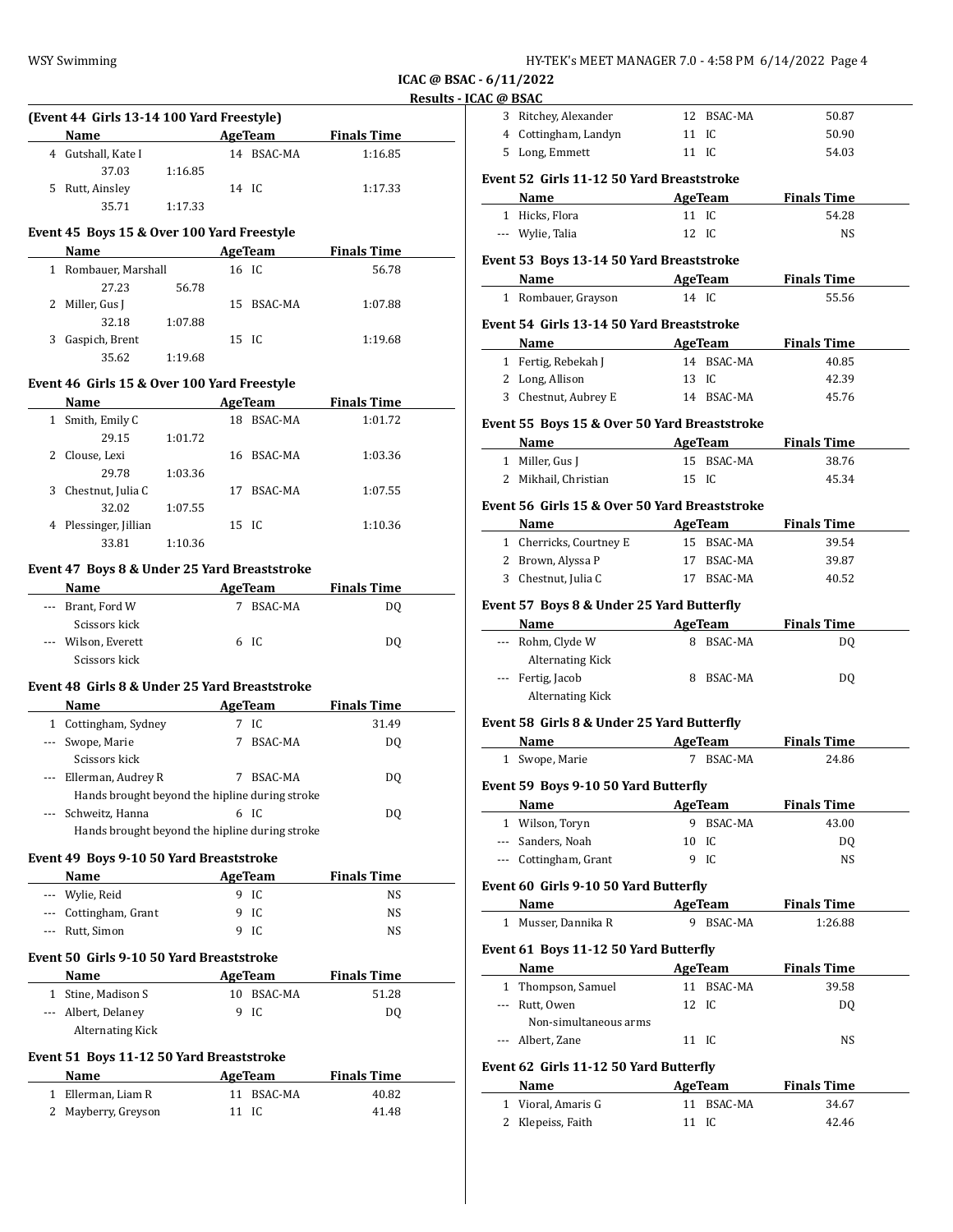| HY-TEK's MEET MANAGER 7.0 - 4:58 PM  6/14/2022  Page 4 |
|--------------------------------------------------------|
|--------------------------------------------------------|

**ICAC @ BSAC - 6/11/2022 Results - ICAC** 

|              | (Event 44 Girls 13-14 100 Yard Freestyle)       |                                                                                                                                                                              |       |                             |                                       |  |
|--------------|-------------------------------------------------|------------------------------------------------------------------------------------------------------------------------------------------------------------------------------|-------|-----------------------------|---------------------------------------|--|
|              | <b>Name</b>                                     |                                                                                                                                                                              |       |                             | <b>Example 21 AgeTeam</b> Finals Time |  |
|              | 4 Gutshall, Kate I<br>37.03                     | 1:16.85                                                                                                                                                                      |       | 14 BSAC-MA                  | 1:16.85                               |  |
|              | 5 Rutt, Ainsley                                 |                                                                                                                                                                              | 14 IC |                             | 1:17.33                               |  |
|              | 35.71                                           | 1:17.33                                                                                                                                                                      |       |                             |                                       |  |
|              | Event 45 Boys 15 & Over 100 Yard Freestyle      |                                                                                                                                                                              |       |                             |                                       |  |
|              | Name                                            |                                                                                                                                                                              |       | AgeTeam                     | <b>Finals Time</b>                    |  |
|              | 1 Rombauer, Marshall<br>27.23                   | 56.78                                                                                                                                                                        | 16 IC |                             | 56.78                                 |  |
|              | 2 Miller, Gus J                                 |                                                                                                                                                                              |       | 15 BSAC-MA                  | 1:07.88                               |  |
|              | 32.18                                           | 1:07.88                                                                                                                                                                      |       |                             |                                       |  |
|              | 3 Gaspich, Brent                                |                                                                                                                                                                              | 15 IC |                             | 1:19.68                               |  |
|              | 35.62                                           | 1:19.68                                                                                                                                                                      |       |                             |                                       |  |
|              | Event 46 Girls 15 & Over 100 Yard Freestyle     |                                                                                                                                                                              |       |                             |                                       |  |
|              | Name                                            | $\mathcal{L}^{\mathcal{L}}(\mathcal{L}^{\mathcal{L}})$ and $\mathcal{L}^{\mathcal{L}}(\mathcal{L}^{\mathcal{L}})$ and $\mathcal{L}^{\mathcal{L}}(\mathcal{L}^{\mathcal{L}})$ |       |                             | AgeTeam Finals Time                   |  |
|              | 1 Smith, Emily C                                |                                                                                                                                                                              |       | 18 BSAC-MA                  | 1:01.72                               |  |
|              | 29.15                                           | 1:01.72                                                                                                                                                                      |       |                             |                                       |  |
|              | 2 Clouse, Lexi                                  |                                                                                                                                                                              |       | 16 BSAC-MA                  | 1:03.36                               |  |
|              | 29.78                                           | 1:03.36                                                                                                                                                                      |       |                             |                                       |  |
|              | 3 Chestnut, Julia C<br>32.02                    | 1:07.55                                                                                                                                                                      |       | 17 BSAC-MA                  | 1:07.55                               |  |
|              | 4 Plessinger, Jillian                           |                                                                                                                                                                              | 15 IC |                             | 1:10.36                               |  |
|              | 33.81                                           | 1:10.36                                                                                                                                                                      |       |                             |                                       |  |
|              | Event 47 Boys 8 & Under 25 Yard Breaststroke    |                                                                                                                                                                              |       |                             |                                       |  |
|              | Name                                            |                                                                                                                                                                              |       | <b>Example 2018 AgeTeam</b> | <b>Finals Time</b>                    |  |
|              | --- Brant, Ford W                               |                                                                                                                                                                              |       | 7 BSAC-MA                   | DQ                                    |  |
|              | Scissors kick                                   |                                                                                                                                                                              |       |                             |                                       |  |
|              | --- Wilson, Everett                             |                                                                                                                                                                              |       | 6 IC                        | DQ                                    |  |
|              | Scissors kick                                   |                                                                                                                                                                              |       |                             |                                       |  |
|              | Event 48 Girls 8 & Under 25 Yard Breaststroke   |                                                                                                                                                                              |       |                             |                                       |  |
|              | Name AgeTeam Finals Time                        |                                                                                                                                                                              |       |                             |                                       |  |
|              | 1 Cottingham, Sydney                            |                                                                                                                                                                              |       | 7 IC                        | 31.49                                 |  |
|              | --- Swope, Marie<br>Scissors kick               |                                                                                                                                                                              |       | 7 BSAC-MA                   | DQ                                    |  |
|              | --- Ellerman, Audrey R                          |                                                                                                                                                                              |       | 7 BSAC-MA                   | DQ                                    |  |
|              | Hands brought beyond the hipline during stroke  |                                                                                                                                                                              |       |                             |                                       |  |
|              | --- Schweitz, Hanna                             |                                                                                                                                                                              |       | 6 IC                        | DQ                                    |  |
|              | Hands brought beyond the hipline during stroke  |                                                                                                                                                                              |       |                             |                                       |  |
|              | Event 49 Boys 9-10 50 Yard Breaststroke         |                                                                                                                                                                              |       |                             |                                       |  |
|              | Name                                            |                                                                                                                                                                              |       | AgeTeam                     | <b>Finals Time</b>                    |  |
|              | --- Wylie, Reid                                 |                                                                                                                                                                              |       | 9 IC                        | NS                                    |  |
|              | --- Cottingham, Grant                           |                                                                                                                                                                              |       | 9 IC<br>9 IC                | NS                                    |  |
|              | --- Rutt, Simon                                 |                                                                                                                                                                              |       |                             | NS                                    |  |
|              | Event 50  Girls 9-10 50 Yard Breaststroke       |                                                                                                                                                                              |       |                             |                                       |  |
|              | Name                                            |                                                                                                                                                                              |       | AgeTeam                     | <b>Finals Time</b>                    |  |
|              | 1 Stine, Madison S                              |                                                                                                                                                                              |       | 10 BSAC-MA                  | 51.28                                 |  |
|              | --- Albert, Delaney<br>Alternating Kick         |                                                                                                                                                                              | 9     | IC                          | DQ                                    |  |
|              | <b>Event 51 Boys 11-12 50 Yard Breaststroke</b> |                                                                                                                                                                              |       |                             |                                       |  |
|              | Name                                            |                                                                                                                                                                              |       | <b>AgeTeam</b>              | <b>Finals Time</b>                    |  |
| $\mathbf{1}$ | Ellerman, Liam R                                |                                                                                                                                                                              |       | 11 BSAC-MA                  | 40.82                                 |  |
|              | 2 Mayberry, Greyson                             |                                                                                                                                                                              | 11 IC |                             | 41.48                                 |  |

| AC @ BSAC                              |                                                                                                                                                                                                                                                                                                                                                                |                                                                                                                                                                                                                                                                                                  |                                                                                                                                                                                                                                                                                                                                                                                                                                                                                                                                       |                                                                                                                                                                                       |
|----------------------------------------|----------------------------------------------------------------------------------------------------------------------------------------------------------------------------------------------------------------------------------------------------------------------------------------------------------------------------------------------------------------|--------------------------------------------------------------------------------------------------------------------------------------------------------------------------------------------------------------------------------------------------------------------------------------------------|---------------------------------------------------------------------------------------------------------------------------------------------------------------------------------------------------------------------------------------------------------------------------------------------------------------------------------------------------------------------------------------------------------------------------------------------------------------------------------------------------------------------------------------|---------------------------------------------------------------------------------------------------------------------------------------------------------------------------------------|
| 3 Ritchey, Alexander                   | 12 BSAC-MA                                                                                                                                                                                                                                                                                                                                                     |                                                                                                                                                                                                                                                                                                  | 50.87                                                                                                                                                                                                                                                                                                                                                                                                                                                                                                                                 |                                                                                                                                                                                       |
| 4 Cottingham, Landyn                   | 11 IC                                                                                                                                                                                                                                                                                                                                                          |                                                                                                                                                                                                                                                                                                  | 50.90                                                                                                                                                                                                                                                                                                                                                                                                                                                                                                                                 |                                                                                                                                                                                       |
|                                        | 11 IC                                                                                                                                                                                                                                                                                                                                                          |                                                                                                                                                                                                                                                                                                  | 54.03                                                                                                                                                                                                                                                                                                                                                                                                                                                                                                                                 |                                                                                                                                                                                       |
|                                        |                                                                                                                                                                                                                                                                                                                                                                |                                                                                                                                                                                                                                                                                                  |                                                                                                                                                                                                                                                                                                                                                                                                                                                                                                                                       |                                                                                                                                                                                       |
|                                        |                                                                                                                                                                                                                                                                                                                                                                |                                                                                                                                                                                                                                                                                                  |                                                                                                                                                                                                                                                                                                                                                                                                                                                                                                                                       |                                                                                                                                                                                       |
|                                        |                                                                                                                                                                                                                                                                                                                                                                |                                                                                                                                                                                                                                                                                                  |                                                                                                                                                                                                                                                                                                                                                                                                                                                                                                                                       |                                                                                                                                                                                       |
|                                        |                                                                                                                                                                                                                                                                                                                                                                |                                                                                                                                                                                                                                                                                                  |                                                                                                                                                                                                                                                                                                                                                                                                                                                                                                                                       |                                                                                                                                                                                       |
|                                        |                                                                                                                                                                                                                                                                                                                                                                |                                                                                                                                                                                                                                                                                                  |                                                                                                                                                                                                                                                                                                                                                                                                                                                                                                                                       |                                                                                                                                                                                       |
|                                        |                                                                                                                                                                                                                                                                                                                                                                |                                                                                                                                                                                                                                                                                                  |                                                                                                                                                                                                                                                                                                                                                                                                                                                                                                                                       |                                                                                                                                                                                       |
|                                        |                                                                                                                                                                                                                                                                                                                                                                |                                                                                                                                                                                                                                                                                                  |                                                                                                                                                                                                                                                                                                                                                                                                                                                                                                                                       |                                                                                                                                                                                       |
|                                        |                                                                                                                                                                                                                                                                                                                                                                |                                                                                                                                                                                                                                                                                                  |                                                                                                                                                                                                                                                                                                                                                                                                                                                                                                                                       |                                                                                                                                                                                       |
|                                        |                                                                                                                                                                                                                                                                                                                                                                |                                                                                                                                                                                                                                                                                                  |                                                                                                                                                                                                                                                                                                                                                                                                                                                                                                                                       |                                                                                                                                                                                       |
| Name                                   |                                                                                                                                                                                                                                                                                                                                                                |                                                                                                                                                                                                                                                                                                  |                                                                                                                                                                                                                                                                                                                                                                                                                                                                                                                                       |                                                                                                                                                                                       |
|                                        |                                                                                                                                                                                                                                                                                                                                                                |                                                                                                                                                                                                                                                                                                  | 40.85                                                                                                                                                                                                                                                                                                                                                                                                                                                                                                                                 |                                                                                                                                                                                       |
|                                        | 13 IC                                                                                                                                                                                                                                                                                                                                                          |                                                                                                                                                                                                                                                                                                  | 42.39                                                                                                                                                                                                                                                                                                                                                                                                                                                                                                                                 |                                                                                                                                                                                       |
|                                        |                                                                                                                                                                                                                                                                                                                                                                |                                                                                                                                                                                                                                                                                                  | 45.76                                                                                                                                                                                                                                                                                                                                                                                                                                                                                                                                 |                                                                                                                                                                                       |
|                                        |                                                                                                                                                                                                                                                                                                                                                                |                                                                                                                                                                                                                                                                                                  |                                                                                                                                                                                                                                                                                                                                                                                                                                                                                                                                       |                                                                                                                                                                                       |
| Name                                   |                                                                                                                                                                                                                                                                                                                                                                |                                                                                                                                                                                                                                                                                                  | <b>Finals Time</b>                                                                                                                                                                                                                                                                                                                                                                                                                                                                                                                    |                                                                                                                                                                                       |
|                                        |                                                                                                                                                                                                                                                                                                                                                                |                                                                                                                                                                                                                                                                                                  | 38.76                                                                                                                                                                                                                                                                                                                                                                                                                                                                                                                                 |                                                                                                                                                                                       |
|                                        | 15 IC                                                                                                                                                                                                                                                                                                                                                          |                                                                                                                                                                                                                                                                                                  | 45.34                                                                                                                                                                                                                                                                                                                                                                                                                                                                                                                                 |                                                                                                                                                                                       |
|                                        |                                                                                                                                                                                                                                                                                                                                                                |                                                                                                                                                                                                                                                                                                  |                                                                                                                                                                                                                                                                                                                                                                                                                                                                                                                                       |                                                                                                                                                                                       |
|                                        |                                                                                                                                                                                                                                                                                                                                                                |                                                                                                                                                                                                                                                                                                  |                                                                                                                                                                                                                                                                                                                                                                                                                                                                                                                                       |                                                                                                                                                                                       |
|                                        |                                                                                                                                                                                                                                                                                                                                                                |                                                                                                                                                                                                                                                                                                  |                                                                                                                                                                                                                                                                                                                                                                                                                                                                                                                                       |                                                                                                                                                                                       |
|                                        |                                                                                                                                                                                                                                                                                                                                                                |                                                                                                                                                                                                                                                                                                  |                                                                                                                                                                                                                                                                                                                                                                                                                                                                                                                                       |                                                                                                                                                                                       |
|                                        |                                                                                                                                                                                                                                                                                                                                                                |                                                                                                                                                                                                                                                                                                  |                                                                                                                                                                                                                                                                                                                                                                                                                                                                                                                                       |                                                                                                                                                                                       |
|                                        |                                                                                                                                                                                                                                                                                                                                                                |                                                                                                                                                                                                                                                                                                  |                                                                                                                                                                                                                                                                                                                                                                                                                                                                                                                                       |                                                                                                                                                                                       |
|                                        |                                                                                                                                                                                                                                                                                                                                                                |                                                                                                                                                                                                                                                                                                  |                                                                                                                                                                                                                                                                                                                                                                                                                                                                                                                                       |                                                                                                                                                                                       |
|                                        |                                                                                                                                                                                                                                                                                                                                                                |                                                                                                                                                                                                                                                                                                  |                                                                                                                                                                                                                                                                                                                                                                                                                                                                                                                                       |                                                                                                                                                                                       |
|                                        |                                                                                                                                                                                                                                                                                                                                                                |                                                                                                                                                                                                                                                                                                  |                                                                                                                                                                                                                                                                                                                                                                                                                                                                                                                                       |                                                                                                                                                                                       |
|                                        |                                                                                                                                                                                                                                                                                                                                                                |                                                                                                                                                                                                                                                                                                  |                                                                                                                                                                                                                                                                                                                                                                                                                                                                                                                                       |                                                                                                                                                                                       |
|                                        |                                                                                                                                                                                                                                                                                                                                                                |                                                                                                                                                                                                                                                                                                  | DQ                                                                                                                                                                                                                                                                                                                                                                                                                                                                                                                                    |                                                                                                                                                                                       |
| <b>Alternating Kick</b>                |                                                                                                                                                                                                                                                                                                                                                                |                                                                                                                                                                                                                                                                                                  |                                                                                                                                                                                                                                                                                                                                                                                                                                                                                                                                       |                                                                                                                                                                                       |
|                                        |                                                                                                                                                                                                                                                                                                                                                                |                                                                                                                                                                                                                                                                                                  |                                                                                                                                                                                                                                                                                                                                                                                                                                                                                                                                       |                                                                                                                                                                                       |
|                                        |                                                                                                                                                                                                                                                                                                                                                                |                                                                                                                                                                                                                                                                                                  | <b>Finals Time</b>                                                                                                                                                                                                                                                                                                                                                                                                                                                                                                                    |                                                                                                                                                                                       |
|                                        |                                                                                                                                                                                                                                                                                                                                                                |                                                                                                                                                                                                                                                                                                  | 24.86                                                                                                                                                                                                                                                                                                                                                                                                                                                                                                                                 |                                                                                                                                                                                       |
|                                        |                                                                                                                                                                                                                                                                                                                                                                |                                                                                                                                                                                                                                                                                                  |                                                                                                                                                                                                                                                                                                                                                                                                                                                                                                                                       |                                                                                                                                                                                       |
|                                        |                                                                                                                                                                                                                                                                                                                                                                |                                                                                                                                                                                                                                                                                                  |                                                                                                                                                                                                                                                                                                                                                                                                                                                                                                                                       |                                                                                                                                                                                       |
|                                        |                                                                                                                                                                                                                                                                                                                                                                |                                                                                                                                                                                                                                                                                                  |                                                                                                                                                                                                                                                                                                                                                                                                                                                                                                                                       |                                                                                                                                                                                       |
| <b>Name</b>                            | AgeTeam                                                                                                                                                                                                                                                                                                                                                        |                                                                                                                                                                                                                                                                                                  | <b>Finals Time</b>                                                                                                                                                                                                                                                                                                                                                                                                                                                                                                                    |                                                                                                                                                                                       |
| 1 Wilson, Toryn                        |                                                                                                                                                                                                                                                                                                                                                                | 9 BSAC-MA                                                                                                                                                                                                                                                                                        | 43.00                                                                                                                                                                                                                                                                                                                                                                                                                                                                                                                                 |                                                                                                                                                                                       |
| --- Sanders, Noah                      | 10 IC                                                                                                                                                                                                                                                                                                                                                          |                                                                                                                                                                                                                                                                                                  | DQ                                                                                                                                                                                                                                                                                                                                                                                                                                                                                                                                    |                                                                                                                                                                                       |
| --- Cottingham, Grant                  | IC<br>9                                                                                                                                                                                                                                                                                                                                                        |                                                                                                                                                                                                                                                                                                  | NS                                                                                                                                                                                                                                                                                                                                                                                                                                                                                                                                    |                                                                                                                                                                                       |
| Event 60 Girls 9-10 50 Yard Butterfly  |                                                                                                                                                                                                                                                                                                                                                                |                                                                                                                                                                                                                                                                                                  |                                                                                                                                                                                                                                                                                                                                                                                                                                                                                                                                       |                                                                                                                                                                                       |
| Name                                   | AgeTeam                                                                                                                                                                                                                                                                                                                                                        |                                                                                                                                                                                                                                                                                                  | <b>Finals Time</b>                                                                                                                                                                                                                                                                                                                                                                                                                                                                                                                    |                                                                                                                                                                                       |
| 1 Musser, Dannika R                    |                                                                                                                                                                                                                                                                                                                                                                | 9 BSAC-MA                                                                                                                                                                                                                                                                                        | 1:26.88                                                                                                                                                                                                                                                                                                                                                                                                                                                                                                                               |                                                                                                                                                                                       |
| Event 61 Boys 11-12 50 Yard Butterfly  |                                                                                                                                                                                                                                                                                                                                                                |                                                                                                                                                                                                                                                                                                  |                                                                                                                                                                                                                                                                                                                                                                                                                                                                                                                                       |                                                                                                                                                                                       |
| Name                                   | AgeTeam                                                                                                                                                                                                                                                                                                                                                        |                                                                                                                                                                                                                                                                                                  | <b>Finals Time</b>                                                                                                                                                                                                                                                                                                                                                                                                                                                                                                                    |                                                                                                                                                                                       |
| 1 Thompson, Samuel                     | 11 BSAC-MA                                                                                                                                                                                                                                                                                                                                                     |                                                                                                                                                                                                                                                                                                  | 39.58                                                                                                                                                                                                                                                                                                                                                                                                                                                                                                                                 |                                                                                                                                                                                       |
| --- Rutt, Owen                         | 12 IC                                                                                                                                                                                                                                                                                                                                                          |                                                                                                                                                                                                                                                                                                  | DQ                                                                                                                                                                                                                                                                                                                                                                                                                                                                                                                                    |                                                                                                                                                                                       |
| Non-simultaneous arms                  |                                                                                                                                                                                                                                                                                                                                                                |                                                                                                                                                                                                                                                                                                  |                                                                                                                                                                                                                                                                                                                                                                                                                                                                                                                                       |                                                                                                                                                                                       |
| --- Albert, Zane                       | 11 IC                                                                                                                                                                                                                                                                                                                                                          |                                                                                                                                                                                                                                                                                                  | NS                                                                                                                                                                                                                                                                                                                                                                                                                                                                                                                                    |                                                                                                                                                                                       |
| Event 62 Girls 11-12 50 Yard Butterfly |                                                                                                                                                                                                                                                                                                                                                                |                                                                                                                                                                                                                                                                                                  |                                                                                                                                                                                                                                                                                                                                                                                                                                                                                                                                       |                                                                                                                                                                                       |
| Name                                   | AgeTeam                                                                                                                                                                                                                                                                                                                                                        |                                                                                                                                                                                                                                                                                                  | <b>Finals Time</b>                                                                                                                                                                                                                                                                                                                                                                                                                                                                                                                    |                                                                                                                                                                                       |
| 1 Vioral, Amaris G                     | 11 BSAC-MA                                                                                                                                                                                                                                                                                                                                                     |                                                                                                                                                                                                                                                                                                  | 34.67                                                                                                                                                                                                                                                                                                                                                                                                                                                                                                                                 |                                                                                                                                                                                       |
|                                        | 5 Long, Emmett<br>1 Hicks, Flora<br>--- Wylie, Talia<br>1 Rombauer, Grayson<br>1 Fertig, Rebekah J<br>2 Long, Allison<br>3 Chestnut, Aubrey E<br>1 Miller, Gus J<br>2 Mikhail, Christian<br>Name<br>1 Cherricks, Courtney E<br>2 Brown, Alyssa P<br>3 Chestnut, Julia C<br>--- Rohm, Clyde W<br><b>Alternating Kick</b><br>--- Fertig, Jacob<br>1 Swope, Marie | 11 IC<br>12 IC<br>14 IC<br>Name Manual Manual Manual Manual Manual Manual Manual Manual Manual Manual Manual Manual Manual Manual Manual Manual Manual Manual Manual Manual Manual Manual Manual Manual Manual Manual Manual Manual Manual Manual Manual<br>Event 59 Boys 9-10 50 Yard Butterfly | Event 52 Girls 11-12 50 Yard Breaststroke<br>Name AgeTeam<br>Event 53 Boys 13-14 50 Yard Breaststroke<br>AgeTeam<br>Event 54 Girls 13-14 50 Yard Breaststroke<br>AgeTeam<br>14 BSAC-MA<br>14 BSAC-MA<br>Event 55 Boys 15 & Over 50 Yard Breaststroke<br>AgeTeam<br>15 BSAC-MA<br>Event 56 Girls 15 & Over 50 Yard Breaststroke<br>15 BSAC-MA<br>17 BSAC-MA<br>17 BSAC-MA<br>Event 57 Boys 8 & Under 25 Yard Butterfly<br>Name AgeTeam<br>8 BSAC-MA<br>8 BSAC-MA<br>Event 58 Girls 8 & Under 25 Yard Butterfly<br>AgeTeam<br>7 BSAC-MA | <b>Finals Time</b><br>54.28<br>NS<br><b>Finals Time</b><br>55.56<br><b>Finals Time</b><br><b>Finals Time</b><br><b>AgeTeam</b><br>39.54<br>39.87<br>40.52<br><b>Finals Time</b><br>DQ |